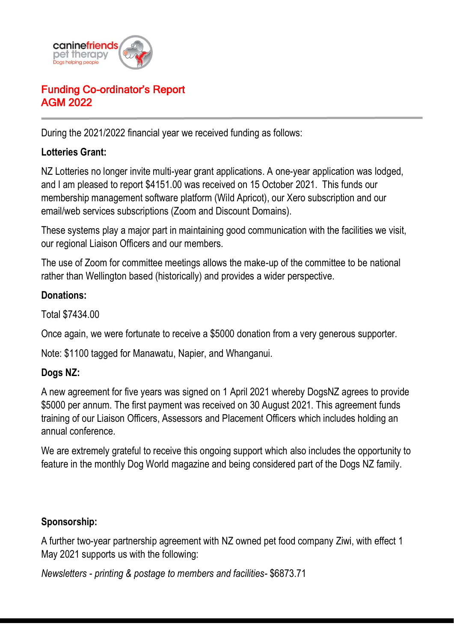

# Funding Co-ordinator's Report AGM 2022

During the 2021/2022 financial year we received funding as follows:

### **Lotteries Grant:**

NZ Lotteries no longer invite multi-year grant applications. A one-year application was lodged, and I am pleased to report \$4151.00 was received on 15 October 2021. This funds our membership management software platform (Wild Apricot), our Xero subscription and our email/web services subscriptions (Zoom and Discount Domains).

These systems play a major part in maintaining good communication with the facilities we visit, our regional Liaison Officers and our members.

The use of Zoom for committee meetings allows the make-up of the committee to be national rather than Wellington based (historically) and provides a wider perspective.

#### **Donations:**

Total \$7434.00

Once again, we were fortunate to receive a \$5000 donation from a very generous supporter.

Note: \$1100 tagged for Manawatu, Napier, and Whanganui.

### **Dogs NZ:**

A new agreement for five years was signed on 1 April 2021 whereby DogsNZ agrees to provide \$5000 per annum. The first payment was received on 30 August 2021. This agreement funds training of our Liaison Officers, Assessors and Placement Officers which includes holding an annual conference.

We are extremely grateful to receive this ongoing support which also includes the opportunity to feature in the monthly Dog World magazine and being considered part of the Dogs NZ family.

### **Sponsorship:**

A further two-year partnership agreement with NZ owned pet food company Ziwi, with effect 1 May 2021 supports us with the following:

*Newsletters - printing & postage to members and facilities-* \$6873.71